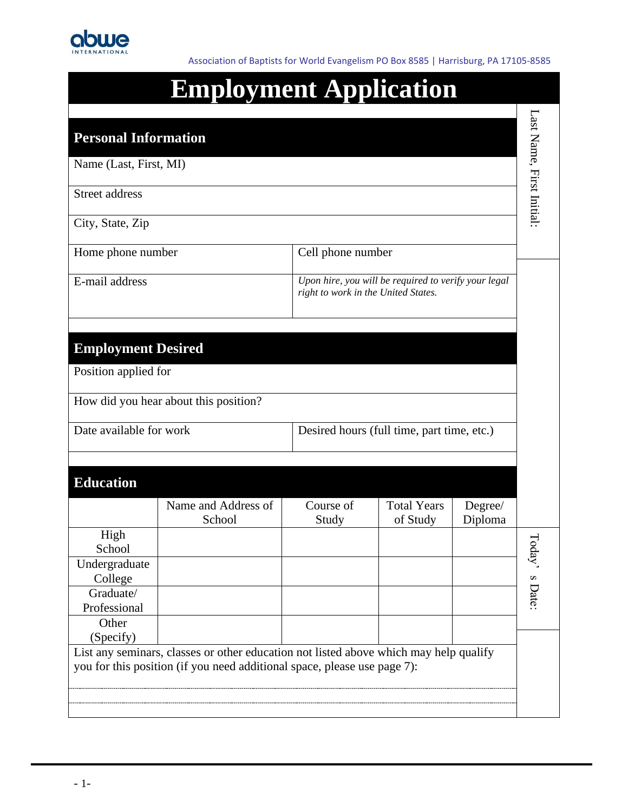

Association of Baptists for World Evangelism PO Box 8585 | Harrisburg, PA 17105-8585

# **Employment Application**

| <b>Personal Information</b> |                                                                                                                                                                   |                                     |                                                      |                    |                          |
|-----------------------------|-------------------------------------------------------------------------------------------------------------------------------------------------------------------|-------------------------------------|------------------------------------------------------|--------------------|--------------------------|
| Name (Last, First, MI)      |                                                                                                                                                                   |                                     |                                                      |                    |                          |
| <b>Street address</b>       |                                                                                                                                                                   |                                     |                                                      |                    | Last Name, First Initial |
| City, State, Zip            |                                                                                                                                                                   |                                     |                                                      |                    |                          |
| Home phone number           |                                                                                                                                                                   | Cell phone number                   |                                                      |                    |                          |
| E-mail address              |                                                                                                                                                                   | right to work in the United States. | Upon hire, you will be required to verify your legal |                    |                          |
| <b>Employment Desired</b>   |                                                                                                                                                                   |                                     |                                                      |                    |                          |
| Position applied for        |                                                                                                                                                                   |                                     |                                                      |                    |                          |
|                             | How did you hear about this position?                                                                                                                             |                                     |                                                      |                    |                          |
| Date available for work     |                                                                                                                                                                   |                                     | Desired hours (full time, part time, etc.)           |                    |                          |
| <b>Education</b>            |                                                                                                                                                                   |                                     |                                                      |                    |                          |
|                             | Name and Address of<br>School                                                                                                                                     | Course of<br>Study                  | <b>Total Years</b><br>of Study                       | Degree/<br>Diploma |                          |
| High<br>School              |                                                                                                                                                                   |                                     |                                                      |                    | I oda                    |
| Undergraduate<br>College    |                                                                                                                                                                   |                                     |                                                      |                    | S                        |
| Graduate/<br>Professional   |                                                                                                                                                                   |                                     |                                                      |                    | Date:                    |
| Other<br>(Specify)          |                                                                                                                                                                   |                                     |                                                      |                    |                          |
|                             | List any seminars, classes or other education not listed above which may help qualify<br>you for this position (if you need additional space, please use page 7): |                                     |                                                      |                    |                          |
|                             |                                                                                                                                                                   |                                     |                                                      |                    |                          |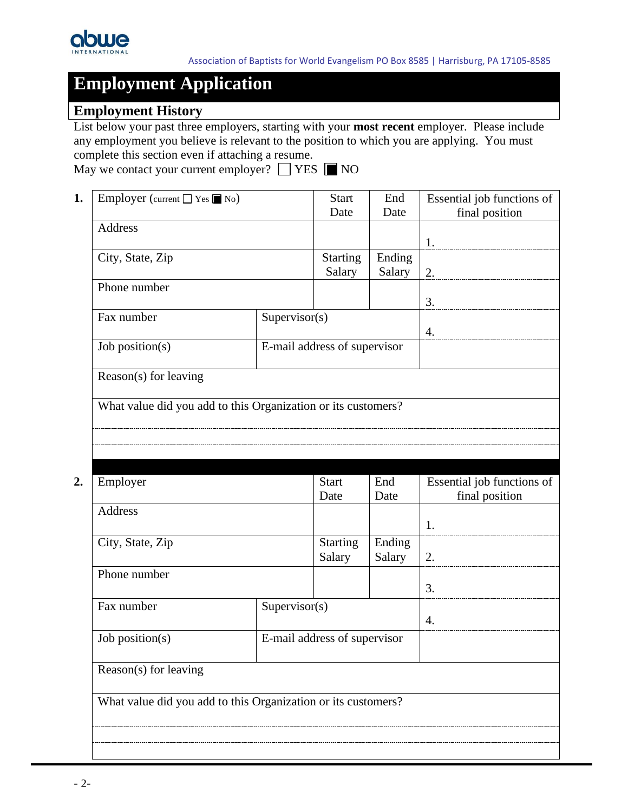

### **Employment History**

List below your past three employers, starting with your **most recent** employer. Please include any employment you believe is relevant to the position to which you are applying. You must complete this section even if attaching a resume.

| May we contact your current employer? $\Box$ YES $\Box$ NO |  |  |  |  |
|------------------------------------------------------------|--|--|--|--|
|------------------------------------------------------------|--|--|--|--|

| Employer (current $\Box$ Yes $\Box$ No)                       |                              | <b>Start</b> | End    | Essential job functions of |
|---------------------------------------------------------------|------------------------------|--------------|--------|----------------------------|
|                                                               |                              | Date         | Date   | final position             |
| Address                                                       |                              |              |        |                            |
|                                                               |                              |              |        | 1.                         |
| City, State, Zip                                              |                              |              | Ending |                            |
|                                                               |                              | Salary       | Salary | 2.                         |
| Phone number                                                  |                              |              |        |                            |
|                                                               |                              |              |        | 3.                         |
| Fax number                                                    | Supervisor(s)                |              |        |                            |
|                                                               |                              |              |        | 4.                         |
| Job position(s)                                               | E-mail address of supervisor |              |        |                            |
|                                                               |                              |              |        |                            |
| Reason(s) for leaving                                         |                              |              |        |                            |
|                                                               |                              |              |        |                            |
| What value did you add to this Organization or its customers? |                              |              |        |                            |
|                                                               |                              |              |        |                            |
|                                                               |                              |              |        |                            |

| Employer                                                      |               | <b>Start</b>                 | End    | Essential job functions of |
|---------------------------------------------------------------|---------------|------------------------------|--------|----------------------------|
|                                                               |               | Date                         | Date   | final position             |
| Address                                                       |               |                              |        |                            |
|                                                               |               |                              |        | 1.                         |
| City, State, Zip                                              |               | <b>Starting</b>              | Ending |                            |
|                                                               |               | Salary                       | Salary | 2.                         |
| Phone number                                                  |               |                              |        |                            |
|                                                               |               |                              |        | 3.                         |
| Fax number                                                    | Supervisor(s) |                              |        |                            |
|                                                               |               |                              | 4.     |                            |
| Job position(s)                                               |               | E-mail address of supervisor |        |                            |
|                                                               |               |                              |        |                            |
| Reason(s) for leaving                                         |               |                              |        |                            |
|                                                               |               |                              |        |                            |
| What value did you add to this Organization or its customers? |               |                              |        |                            |
|                                                               |               |                              |        |                            |
|                                                               |               |                              |        |                            |
|                                                               |               |                              |        |                            |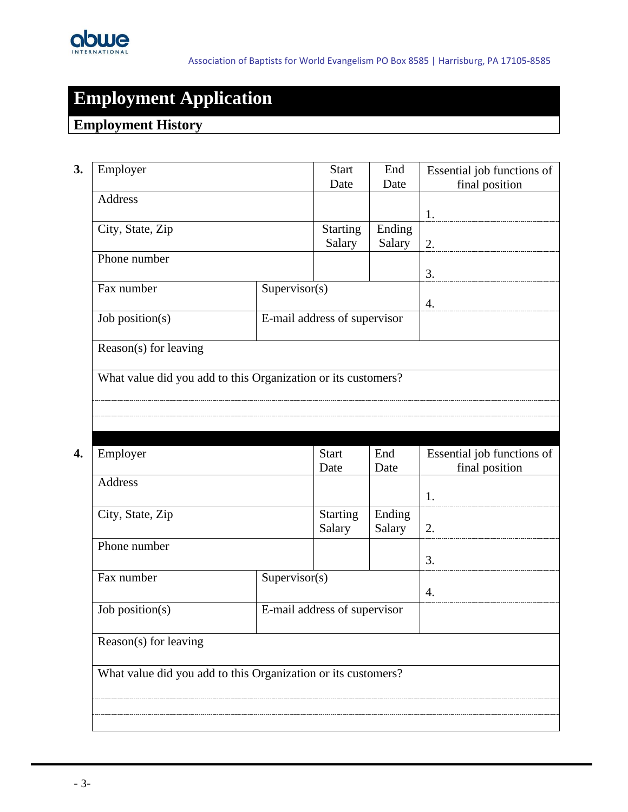

### **Employment History**

| <b>Address</b><br>City, State, Zip<br>Phone number<br>Supervisor(s)<br>Fax number<br>Job position(s)<br>Reason(s) for leaving<br>What value did you add to this Organization or its customers?<br>Employer<br><b>Address</b> | Date<br><b>Starting</b><br>Salary<br>E-mail address of supervisor<br><b>Start</b><br>Date | Date<br>Ending<br>Salary<br>End<br>Date | final position<br>1.<br>2.<br>3.<br>4.<br>Essential job functions of<br>final position |
|------------------------------------------------------------------------------------------------------------------------------------------------------------------------------------------------------------------------------|-------------------------------------------------------------------------------------------|-----------------------------------------|----------------------------------------------------------------------------------------|
|                                                                                                                                                                                                                              |                                                                                           |                                         |                                                                                        |
|                                                                                                                                                                                                                              |                                                                                           |                                         |                                                                                        |
|                                                                                                                                                                                                                              |                                                                                           |                                         |                                                                                        |
|                                                                                                                                                                                                                              |                                                                                           |                                         |                                                                                        |
|                                                                                                                                                                                                                              |                                                                                           |                                         |                                                                                        |
|                                                                                                                                                                                                                              |                                                                                           |                                         |                                                                                        |
|                                                                                                                                                                                                                              |                                                                                           |                                         |                                                                                        |
|                                                                                                                                                                                                                              |                                                                                           |                                         |                                                                                        |
|                                                                                                                                                                                                                              |                                                                                           |                                         |                                                                                        |
|                                                                                                                                                                                                                              |                                                                                           |                                         |                                                                                        |
|                                                                                                                                                                                                                              |                                                                                           |                                         | 1.                                                                                     |
| City, State, Zip                                                                                                                                                                                                             | <b>Starting</b><br>Salary                                                                 | Ending<br>Salary                        | 2.                                                                                     |
| Phone number                                                                                                                                                                                                                 |                                                                                           |                                         | 3.                                                                                     |
| Fax number<br>Supervisor(s)                                                                                                                                                                                                  |                                                                                           |                                         | 4.                                                                                     |
| Job position(s)                                                                                                                                                                                                              | E-mail address of supervisor                                                              |                                         |                                                                                        |
| Reason(s) for leaving                                                                                                                                                                                                        |                                                                                           |                                         |                                                                                        |
| What value did you add to this Organization or its customers?                                                                                                                                                                |                                                                                           |                                         |                                                                                        |
|                                                                                                                                                                                                                              |                                                                                           |                                         |                                                                                        |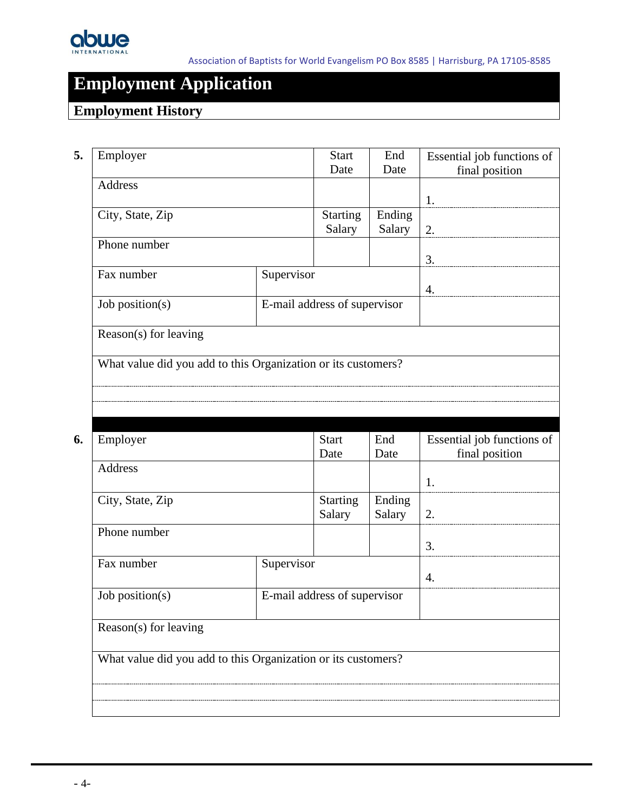

### **Employment History**

| Employer                                                      |                                                               | <b>Start</b><br>Date         | End<br>Date      | Essential job functions of<br>final position |
|---------------------------------------------------------------|---------------------------------------------------------------|------------------------------|------------------|----------------------------------------------|
| <b>Address</b>                                                |                                                               |                              |                  | 1.                                           |
| City, State, Zip                                              |                                                               | <b>Starting</b><br>Salary    | Ending<br>Salary | 2.                                           |
| Phone number                                                  |                                                               |                              |                  | 3.                                           |
| Fax number                                                    | Supervisor                                                    |                              |                  | 4.                                           |
| Job position( $s$ )                                           |                                                               | E-mail address of supervisor |                  |                                              |
| Reason(s) for leaving                                         |                                                               |                              |                  |                                              |
|                                                               | What value did you add to this Organization or its customers? |                              |                  |                                              |
|                                                               |                                                               |                              |                  |                                              |
|                                                               |                                                               |                              |                  |                                              |
|                                                               |                                                               |                              |                  |                                              |
| Employer                                                      |                                                               | <b>Start</b><br>Date         | End              | Essential job functions of                   |
| <b>Address</b>                                                |                                                               |                              | Date             | final position<br>1.                         |
| City, State, Zip                                              |                                                               | <b>Starting</b><br>Salary    | Ending<br>Salary | 2.                                           |
| Phone number                                                  |                                                               |                              |                  | 3.                                           |
| Fax number                                                    | Supervisor                                                    |                              |                  | $\overline{4}$ .                             |
| Job position(s)                                               |                                                               | E-mail address of supervisor |                  |                                              |
| Reason(s) for leaving                                         |                                                               |                              |                  |                                              |
| What value did you add to this Organization or its customers? |                                                               |                              |                  |                                              |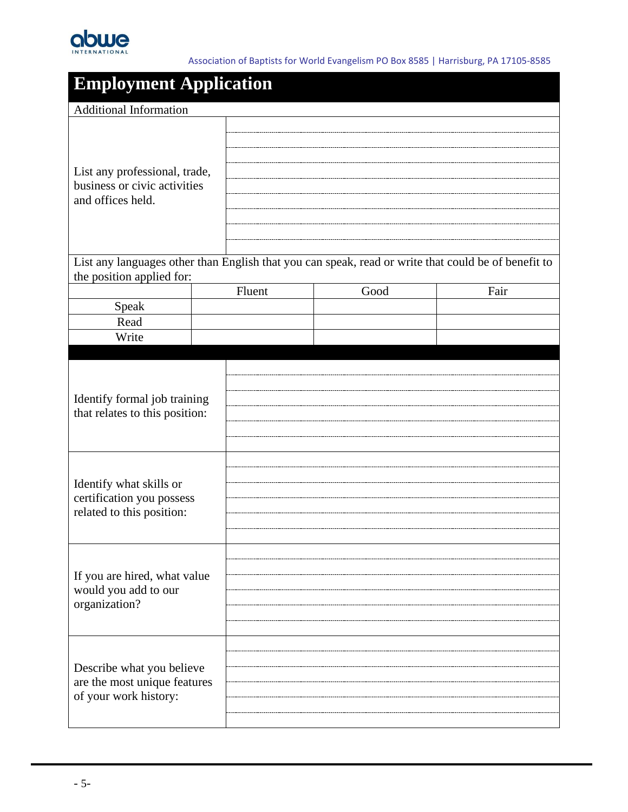

| <b>Employment Application</b>                                                                                                                       |  |        |      |                                                                                                     |
|-----------------------------------------------------------------------------------------------------------------------------------------------------|--|--------|------|-----------------------------------------------------------------------------------------------------|
| <b>Additional Information</b>                                                                                                                       |  |        |      |                                                                                                     |
| List any professional, trade,<br>business or civic activities<br>and offices held.                                                                  |  |        |      |                                                                                                     |
| the position applied for:                                                                                                                           |  |        |      | List any languages other than English that you can speak, read or write that could be of benefit to |
|                                                                                                                                                     |  | Fluent | Good | Fair                                                                                                |
| Speak                                                                                                                                               |  |        |      |                                                                                                     |
| Read                                                                                                                                                |  |        |      |                                                                                                     |
| Write                                                                                                                                               |  |        |      |                                                                                                     |
| Identify formal job training<br>that relates to this position:<br>Identify what skills or<br>certification you possess<br>related to this position: |  |        |      |                                                                                                     |
| If you are hired, what value<br>would you add to our<br>organization?                                                                               |  |        |      |                                                                                                     |
| Describe what you believe<br>are the most unique features<br>of your work history:                                                                  |  |        |      |                                                                                                     |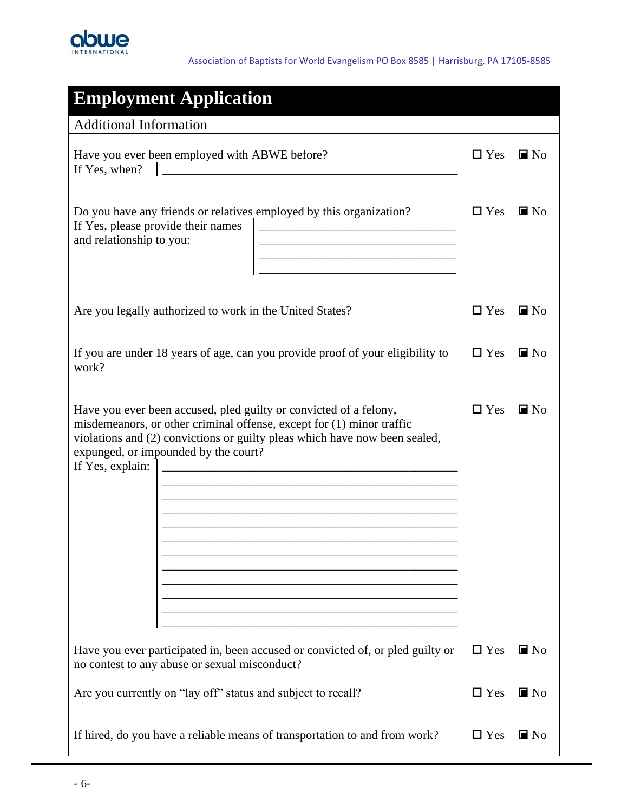

| <b>Employment Application</b>                                                                                                                                                                                                                                                                                                                                                                                                                                                                                                                                                                                                                                                                                                                                                             |            |                   |
|-------------------------------------------------------------------------------------------------------------------------------------------------------------------------------------------------------------------------------------------------------------------------------------------------------------------------------------------------------------------------------------------------------------------------------------------------------------------------------------------------------------------------------------------------------------------------------------------------------------------------------------------------------------------------------------------------------------------------------------------------------------------------------------------|------------|-------------------|
| <b>Additional Information</b>                                                                                                                                                                                                                                                                                                                                                                                                                                                                                                                                                                                                                                                                                                                                                             |            |                   |
| Have you ever been employed with ABWE before?<br>If Yes, when?<br><u> 1980 - Johann Stein, mars ann an t-Amhann ann an t-</u>                                                                                                                                                                                                                                                                                                                                                                                                                                                                                                                                                                                                                                                             | $\Box$ Yes | $\blacksquare$ No |
| Do you have any friends or relatives employed by this organization?<br>If Yes, please provide their names<br>and relationship to you:                                                                                                                                                                                                                                                                                                                                                                                                                                                                                                                                                                                                                                                     | $\Box$ Yes | $\blacksquare$ No |
| Are you legally authorized to work in the United States?                                                                                                                                                                                                                                                                                                                                                                                                                                                                                                                                                                                                                                                                                                                                  | $\Box$ Yes | $\blacksquare$ No |
| If you are under 18 years of age, can you provide proof of your eligibility to<br>work?                                                                                                                                                                                                                                                                                                                                                                                                                                                                                                                                                                                                                                                                                                   | $\Box$ Yes | $\blacksquare$ No |
| Have you ever been accused, pled guilty or convicted of a felony,<br>misdemeanors, or other criminal offense, except for (1) minor traffic<br>violations and (2) convictions or guilty pleas which have now been sealed,<br>expunged, or impounded by the court?<br>If Yes, explain:<br><u> 1980 - Johann Barbara, martxa alemaniar argumento este alemaniar alemaniar alemaniar alemaniar alemaniar al</u><br><u> 2000 - Jan Barat, prima de la contenentación de la contenental de la contenental de la contenental de la con</u><br><u> 1989 - Johann Barbara, margaret eta idazlea (h. 1989).</u><br><u> 2000 - Jan James James James James James James James James James James James James James James James James J</u><br><u> 1989 - Johann John Stein, marwolaethau (b. 1989)</u> | $\Box$ Yes | $\blacksquare$ No |
| Have you ever participated in, been accused or convicted of, or pled guilty or<br>no contest to any abuse or sexual misconduct?                                                                                                                                                                                                                                                                                                                                                                                                                                                                                                                                                                                                                                                           | $\Box$ Yes | $\blacksquare$ No |
| Are you currently on "lay off" status and subject to recall?                                                                                                                                                                                                                                                                                                                                                                                                                                                                                                                                                                                                                                                                                                                              | $\Box$ Yes | $\blacksquare$ No |
| If hired, do you have a reliable means of transportation to and from work?                                                                                                                                                                                                                                                                                                                                                                                                                                                                                                                                                                                                                                                                                                                | $\Box$ Yes | $\blacksquare$ No |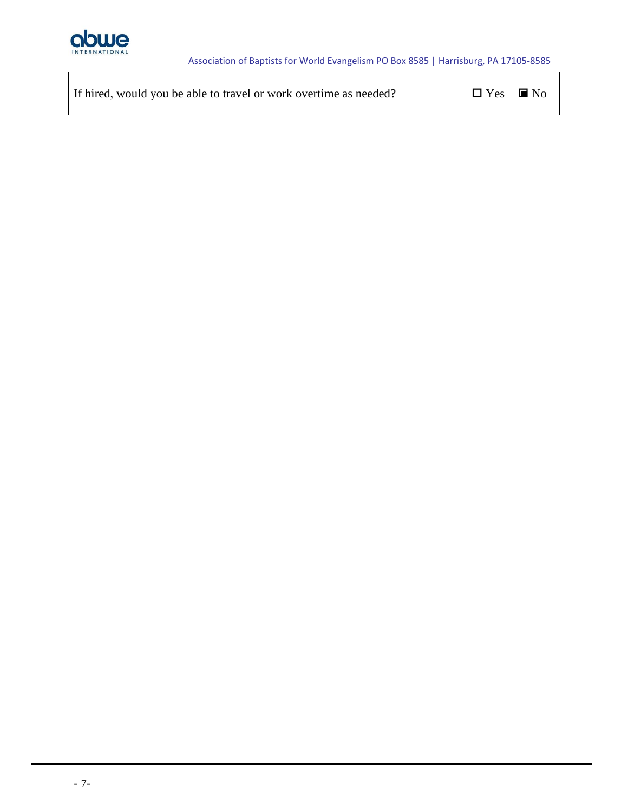

If hired, would you be able to travel or work overtime as needed?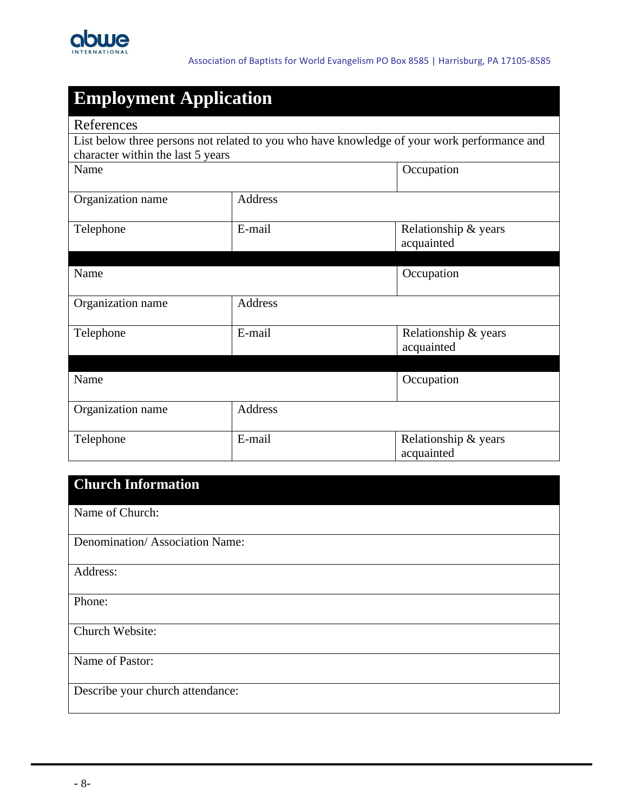

| <b>Employment Application</b>          |                          |                                                                                             |
|----------------------------------------|--------------------------|---------------------------------------------------------------------------------------------|
| References                             |                          |                                                                                             |
|                                        |                          | List below three persons not related to you who have knowledge of your work performance and |
| character within the last 5 years      |                          |                                                                                             |
| Name                                   |                          | Occupation                                                                                  |
|                                        |                          |                                                                                             |
| Organization name                      | <b>Address</b>           |                                                                                             |
| Telephone                              | E-mail                   | Relationship & years                                                                        |
|                                        |                          | acquainted                                                                                  |
|                                        |                          |                                                                                             |
| Name                                   |                          | Occupation                                                                                  |
|                                        |                          |                                                                                             |
| Organization name                      | Address                  |                                                                                             |
|                                        |                          |                                                                                             |
| Telephone                              | E-mail                   | Relationship & years                                                                        |
|                                        |                          |                                                                                             |
|                                        |                          |                                                                                             |
|                                        |                          |                                                                                             |
|                                        |                          |                                                                                             |
|                                        |                          |                                                                                             |
|                                        |                          |                                                                                             |
|                                        |                          |                                                                                             |
| Name<br>Organization name<br>Telephone | <b>Address</b><br>E-mail | acquainted<br>Occupation<br>Relationship & years<br>acquainted                              |

### **Church Information**

Name of Church:

Denomination/ Association Name:

Address:

Phone:

Church Website:

Name of Pastor:

Describe your church attendance: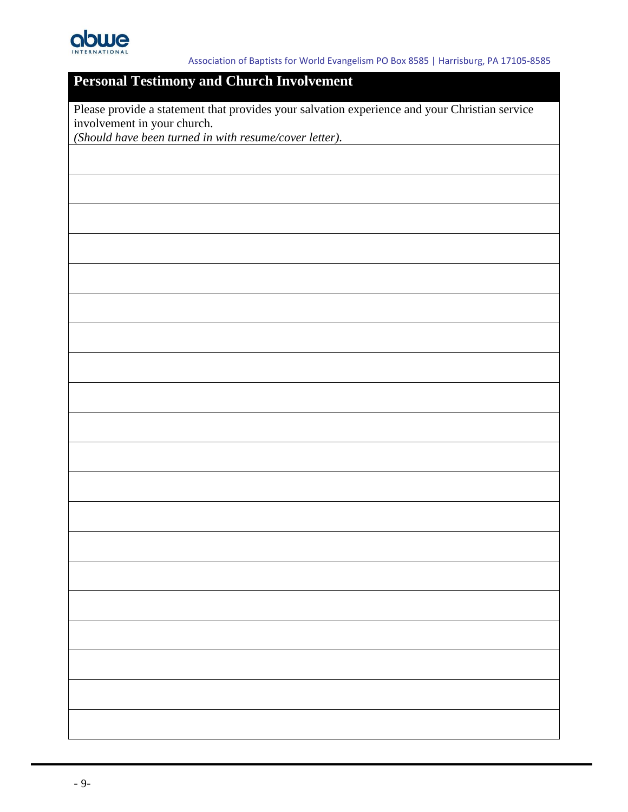

### **Personal Testimony and Church Involvement**

Please provide a statement that provides your salvation experience and your Christian service involvement in your church.

*(Should have been turned in with resume/cover letter).*

- 9-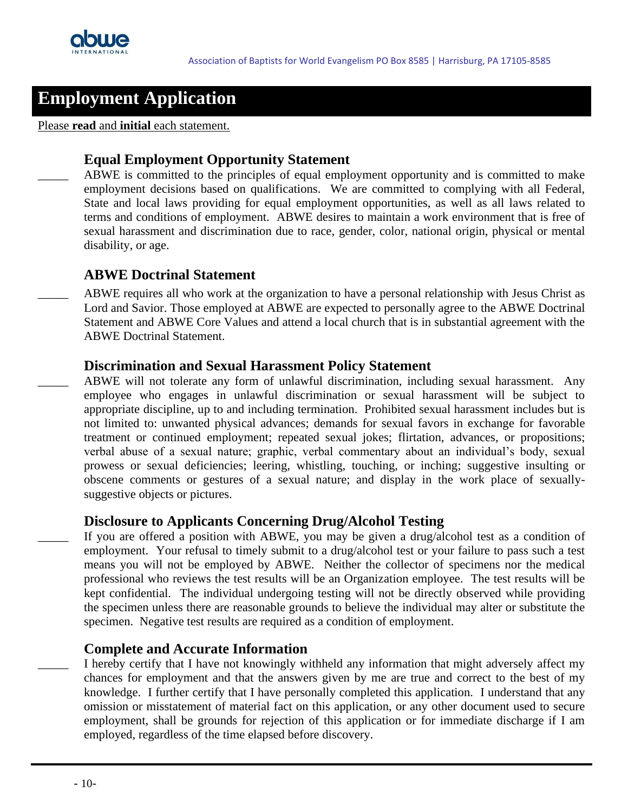

#### Please **read** and **initial** each statement.

#### **Equal Employment Opportunity Statement**

ABWE is committed to the principles of equal employment opportunity and is committed to make employment decisions based on qualifications. We are committed to complying with all Federal, State and local laws providing for equal employment opportunities, as well as all laws related to terms and conditions of employment. ABWE desires to maintain a work environment that is free of sexual harassment and discrimination due to race, gender, color, national origin, physical or mental disability, or age.

#### **ABWE Doctrinal Statement**

\_\_\_\_\_ ABWE requires all who work at the organization to have a personal relationship with Jesus Christ as Lord and Savior. Those employed at ABWE are expected to personally agree to the ABWE Doctrinal Statement and ABWE Core Values and attend a local church that is in substantial agreement with the ABWE Doctrinal Statement.

#### **Discrimination and Sexual Harassment Policy Statement**

ABWE will not tolerate any form of unlawful discrimination, including sexual harassment. Any employee who engages in unlawful discrimination or sexual harassment will be subject to appropriate discipline, up to and including termination. Prohibited sexual harassment includes but is not limited to: unwanted physical advances; demands for sexual favors in exchange for favorable treatment or continued employment; repeated sexual jokes; flirtation, advances, or propositions; verbal abuse of a sexual nature; graphic, verbal commentary about an individual's body, sexual prowess or sexual deficiencies; leering, whistling, touching, or inching; suggestive insulting or obscene comments or gestures of a sexual nature; and display in the work place of sexuallysuggestive objects or pictures.

#### **Disclosure to Applicants Concerning Drug/Alcohol Testing**

If you are offered a position with ABWE, you may be given a drug/alcohol test as a condition of employment. Your refusal to timely submit to a drug/alcohol test or your failure to pass such a test means you will not be employed by ABWE. Neither the collector of specimens nor the medical professional who reviews the test results will be an Organization employee. The test results will be kept confidential. The individual undergoing testing will not be directly observed while providing the specimen unless there are reasonable grounds to believe the individual may alter or substitute the specimen. Negative test results are required as a condition of employment.

#### **Complete and Accurate Information**

I hereby certify that I have not knowingly withheld any information that might adversely affect my chances for employment and that the answers given by me are true and correct to the best of my knowledge. I further certify that I have personally completed this application. I understand that any omission or misstatement of material fact on this application, or any other document used to secure employment, shall be grounds for rejection of this application or for immediate discharge if I am employed, regardless of the time elapsed before discovery.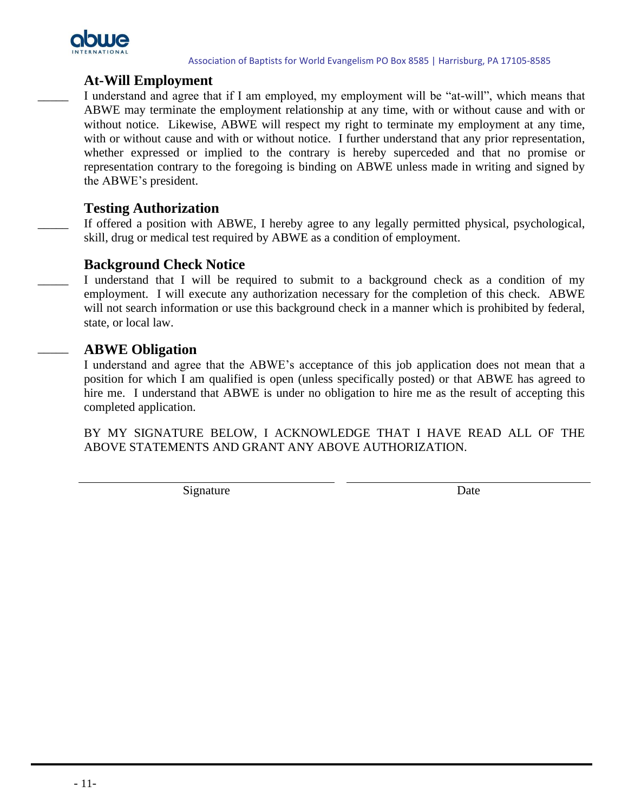

#### **At-Will Employment**

I understand and agree that if I am employed, my employment will be "at-will", which means that ABWE may terminate the employment relationship at any time, with or without cause and with or without notice. Likewise, ABWE will respect my right to terminate my employment at any time, with or without cause and with or without notice. I further understand that any prior representation, whether expressed or implied to the contrary is hereby superceded and that no promise or representation contrary to the foregoing is binding on ABWE unless made in writing and signed by the ABWE's president.

#### **Testing Authorization**

If offered a position with ABWE, I hereby agree to any legally permitted physical, psychological, skill, drug or medical test required by ABWE as a condition of employment.

#### **Background Check Notice**

I understand that I will be required to submit to a background check as a condition of my employment. I will execute any authorization necessary for the completion of this check. ABWE will not search information or use this background check in a manner which is prohibited by federal, state, or local law.

#### \_\_\_\_\_ **ABWE Obligation**

I understand and agree that the ABWE's acceptance of this job application does not mean that a position for which I am qualified is open (unless specifically posted) or that ABWE has agreed to hire me. I understand that ABWE is under no obligation to hire me as the result of accepting this completed application.

BY MY SIGNATURE BELOW, I ACKNOWLEDGE THAT I HAVE READ ALL OF THE ABOVE STATEMENTS AND GRANT ANY ABOVE AUTHORIZATION.

Signature Date